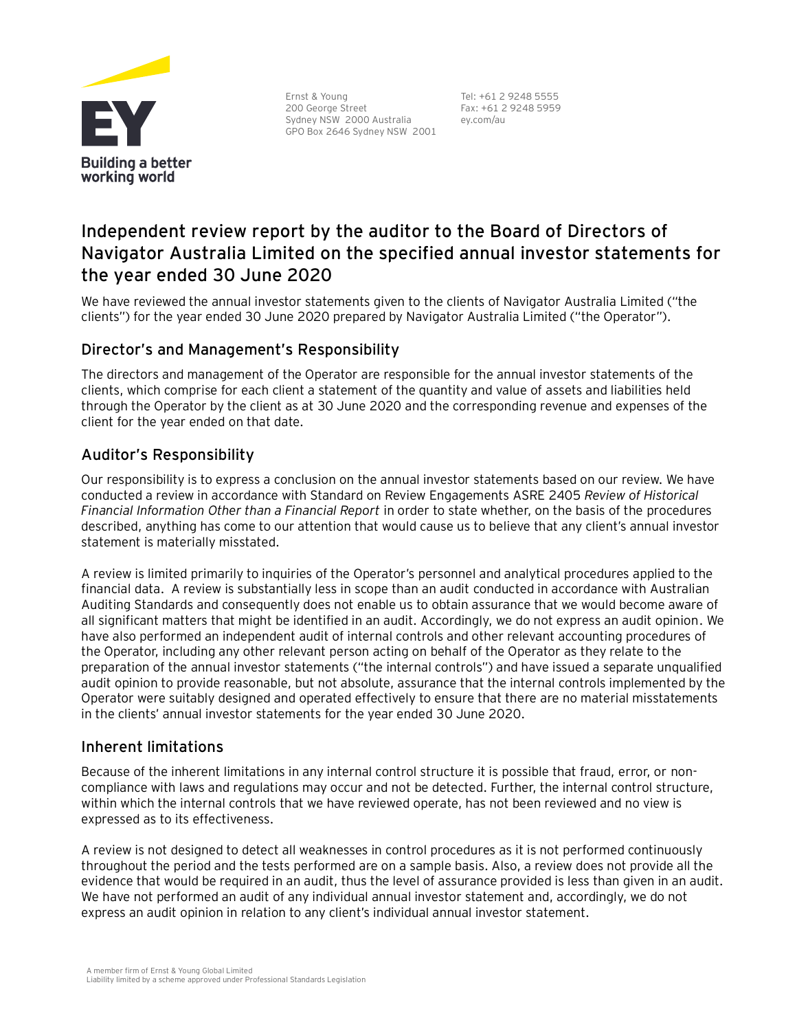

Ernst & Young 200 George Street Sydney NSW 2000 Australia GPO Box 2646 Sydney NSW 2001

Tel: +61 2 9248 5555 Fax: +61 2 9248 5959 ey.com/au

# **Independent review report by the auditor to the Board of Directors of Navigator Australia Limited on the specified annual investor statements for the year ended 30 June 2020**

We have reviewed the annual investor statements given to the clients of Navigator Australia Limited ("the clients") for the year ended 30 June 2020 prepared by Navigator Australia Limited ("the Operator").

## Director's and Management's Responsibility

The directors and management of the Operator are responsible for the annual investor statements of the clients, which comprise for each client a statement of the quantity and value of assets and liabilities held through the Operator by the client as at 30 June 2020 and the corresponding revenue and expenses of the client for the year ended on that date.

# Auditor's Responsibility

Our responsibility is to express a conclusion on the annual investor statements based on our review. We have conducted a review in accordance with Standard on Review Engagements ASRE 2405 *Review of Historical Financial Information Other than a Financial Report* in order to state whether, on the basis of the procedures described, anything has come to our attention that would cause us to believe that any client's annual investor statement is materially misstated.

A review is limited primarily to inquiries of the Operator's personnel and analytical procedures applied to the financial data. A review is substantially less in scope than an audit conducted in accordance with Australian Auditing Standards and consequently does not enable us to obtain assurance that we would become aware of all significant matters that might be identified in an audit. Accordingly, we do not express an audit opinion. We have also performed an independent audit of internal controls and other relevant accounting procedures of the Operator, including any other relevant person acting on behalf of the Operator as they relate to the preparation of the annual investor statements ("the internal controls") and have issued a separate unqualified audit opinion to provide reasonable, but not absolute, assurance that the internal controls implemented by the Operator were suitably designed and operated effectively to ensure that there are no material misstatements in the clients' annual investor statements for the year ended 30 June 2020.

#### Inherent limitations

Because of the inherent limitations in any internal control structure it is possible that fraud, error, or noncompliance with laws and regulations may occur and not be detected. Further, the internal control structure, within which the internal controls that we have reviewed operate, has not been reviewed and no view is expressed as to its effectiveness.

A review is not designed to detect all weaknesses in control procedures as it is not performed continuously throughout the period and the tests performed are on a sample basis. Also, a review does not provide all the evidence that would be required in an audit, thus the level of assurance provided is less than given in an audit. We have not performed an audit of any individual annual investor statement and, accordingly, we do not express an audit opinion in relation to any client's individual annual investor statement.